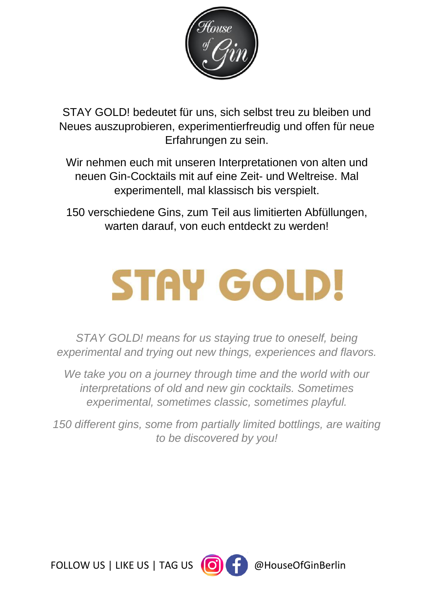

STAY GOLD! bedeutet für uns, sich selbst treu zu bleiben und Neues auszuprobieren, experimentierfreudig und offen für neue Erfahrungen zu sein.

Wir nehmen euch mit unseren Interpretationen von alten und neuen Gin-Cocktails mit auf eine Zeit- und Weltreise. Mal experimentell, mal klassisch bis verspielt.

150 verschiedene Gins, zum Teil aus limitierten Abfüllungen, warten darauf, von euch entdeckt zu werden!

# **STAY GOLD!**

*STAY GOLD! means for us staying true to oneself, being experimental and trying out new things, experiences and flavors.* 

*We take you on a journey through time and the world with our interpretations of old and new gin cocktails. Sometimes experimental, sometimes classic, sometimes playful.*

*150 different gins, some from partially limited bottlings, are waiting to be discovered by you!* 

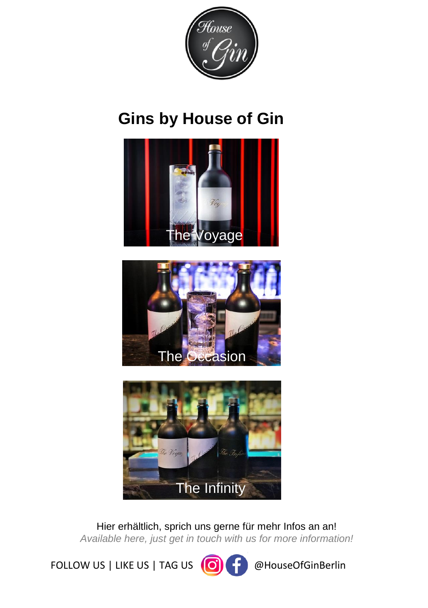

# **Gins by House of Gin**







Hier erhältlich, sprich uns gerne für mehr Infos an an! *Available here, just get in touch with us for more information!*

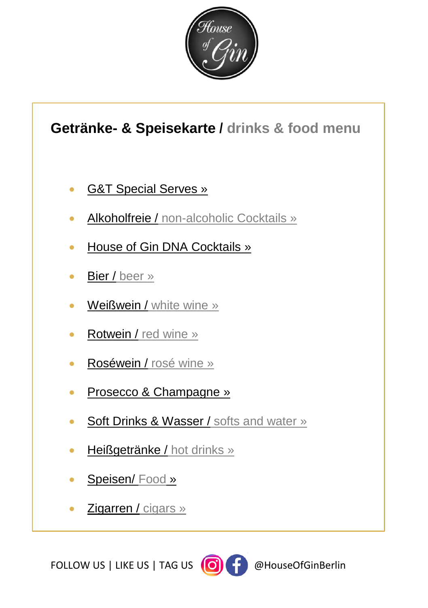

# <span id="page-2-0"></span>**Getränke- & Speisekarte / drinks & food menu**

- [G&T Special Serves »](#page-3-0)
- Alkoholfreie / [non-alcoholic Cocktails »](#page-4-0)
- [House of Gin DNA Cocktails »](#page-5-0)
- Bier / [beer »](#page-7-0)
- Weißwein / [white wine »](#page-7-1)
- Rotwein / [red wine »](#page-8-0)
- Roséwein / [rosé wine »](#page-8-1)
- [Prosecco & Champagne »](#page-8-2)
- [Soft Drinks & Wasser /](#page-9-0) softs and water »
- [Heißgetränke /](#page-9-1) hot drinks »
- [Speisen/](#page-10-0) Food »
- [Zigarren /](#page-17-0) cigars »

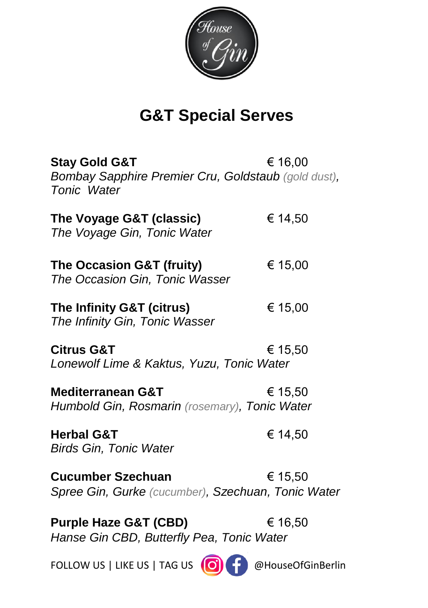

# **G&T Special Serves**

<span id="page-3-0"></span>

| <b>Stay Gold G&amp;T</b><br>Bombay Sapphire Premier Cru, Goldstaub (gold dust),<br>Tonic Water | € 16,00 |
|------------------------------------------------------------------------------------------------|---------|
| The Voyage G&T (classic)<br>The Voyage Gin, Tonic Water                                        | € 14,50 |
| The Occasion G&T (fruity)<br>The Occasion Gin, Tonic Wasser                                    | € 15,00 |
| The Infinity G&T (citrus)<br>The Infinity Gin, Tonic Wasser                                    | € 15,00 |
| <b>Citrus G&amp;T</b><br>Lonewolf Lime & Kaktus, Yuzu, Tonic Water                             | € 15,50 |
| <b>Mediterranean G&amp;T</b><br>Humbold Gin, Rosmarin (rosemary), Tonic Water                  | € 15,50 |
| <b>Herbal G&amp;T</b><br><b>Birds Gin, Tonic Water</b>                                         | € 14,50 |
| <b>Cucumber Szechuan</b><br>Spree Gin, Gurke (cucumber), Szechuan, Tonic Water                 | € 15,50 |
| <b>Purple Haze G&amp;T (CBD)</b><br>Hanse Gin CBD, Butterfly Pea, Tonic Water                  | € 16,50 |

FOLLOW US | LIKE US | TAG US  $\bigodot$   $\bigodot$   $\bigodot$  @HouseOfGinBerlin

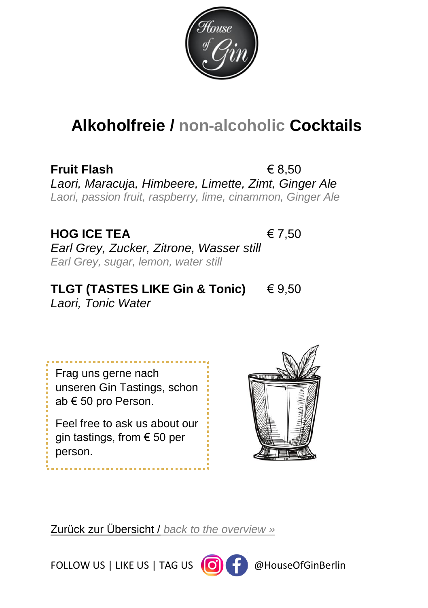

# <span id="page-4-0"></span>**Alkoholfreie / non-alcoholic Cocktails**

**Fruit Flash** € 8,50 *Laori, Maracuja, Himbeere, Limette, Zimt, Ginger Ale Laori, passion fruit, raspberry, lime, cinammon, Ginger Ale*

#### **HOG ICE TEA** € 7,50

*Earl Grey, Zucker, Zitrone, Wasser still Earl Grey, sugar, lemon, water still*

#### **TLGT (TASTES LIKE Gin & Tonic)** € 9,50 *Laori, Tonic Water*

Frag uns gerne nach unseren Gin Tastings, schon ab € 50 pro Person.

Feel free to ask us about our gin tastings, from € 50 per person.



Zurück zur Übersicht / *[back to the overview »](#page-2-0)*

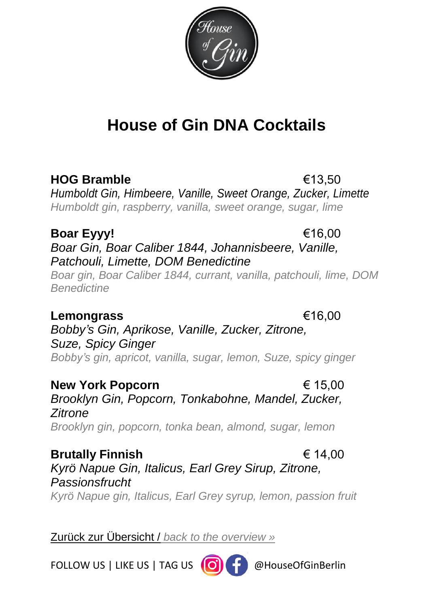

<span id="page-5-0"></span>**HOG Bramble** €13,50 *Humboldt Gin, Himbeere, Vanille, Sweet Orange, Zucker, Limette Humboldt gin, raspberry, vanilla, sweet orange, sugar, lime*

#### **Boar Eyyy!** €16,00 *Boar Gin, Boar Caliber 1844, Johannisbeere, Vanille, Patchouli, Limette, DOM Benedictine*

*Boar gin, Boar Caliber 1844, currant, vanilla, patchouli, lime, DOM Benedictine*

**Lemongrass** €16,00 *Bobby's Gin, Aprikose, Vanille, Zucker, Zitrone,* 

*Suze, Spicy Ginger Bobby's gin, apricot, vanilla, sugar, lemon, Suze, spicy ginger*

**New York Popcorn** € 15,00 *Brooklyn Gin, Popcorn, Tonkabohne, Mandel, Zucker, Zitrone Brooklyn gin, popcorn, tonka bean, almond, sugar, lemon*

**Brutally Finnish** € 14,00 *Kyrö Napue Gin, Italicus, Earl Grey Sirup, Zitrone, Passionsfrucht Kyrö Napue gin, Italicus, Earl Grey syrup, lemon, passion fruit*

Zurück zur Übersicht / *[back to the overview »](#page-2-0)*

FOLLOW US | LIKE US | TAG US  $\left(\bigcirc\right)$  |  $\bigcirc$  @HouseOfGinBerlin



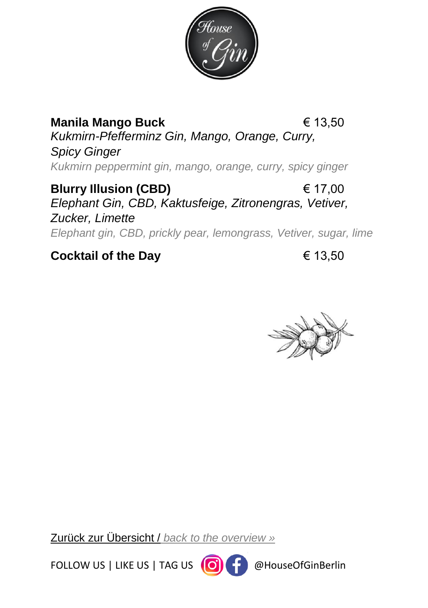

**Manila Mango Buck** € 13,50 *Kukmirn-Pfefferminz Gin, Mango, Orange, Curry, Spicy Ginger Kukmirn peppermint gin, mango, orange, curry, spicy ginger*

**Blurry Illusion (CBD)** € 17,00 *Elephant Gin, CBD, Kaktusfeige, Zitronengras, Vetiver, Zucker, Limette Elephant gin, CBD, prickly pear, lemongrass, Vetiver, sugar, lime*

### **Cocktail of the Day** € 13,50



Zurück zur Übersicht / *[back to the overview »](#page-2-0)*

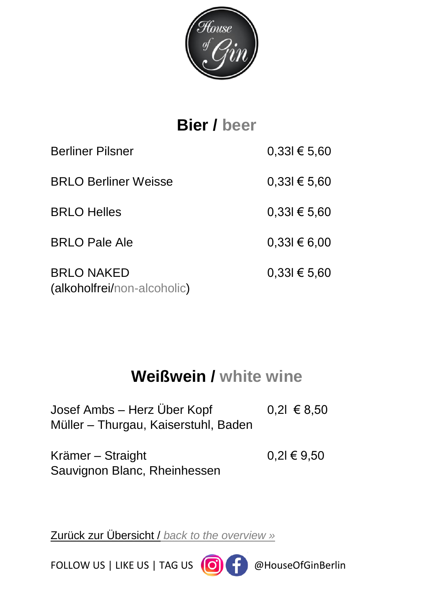

<span id="page-7-0"></span>**Bier / beer** Berliner Pilsner 0,33l € 5,60 BRLO Berliner Weisse 0,33l € 5,60 BRLO Helles  $0.33 \times 5.60$ BRLO Pale Ale  $0,33l \in 6,00$ BRLO NAKED  $0.331 \in 5.60$ (alkoholfrei/non-alcoholic)

# **Weißwein / white wine**

<span id="page-7-1"></span>

| Josef Ambs – Herz Uber Kopf          | $0,21 \in 8,50$ |
|--------------------------------------|-----------------|
| Müller – Thurgau, Kaiserstuhl, Baden |                 |

| Krämer – Straight            | $0,2$ l € 9,50 |
|------------------------------|----------------|
| Sauvignon Blanc, Rheinhessen |                |

Zurück zur Übersicht / *[back to the overview »](#page-2-0)*

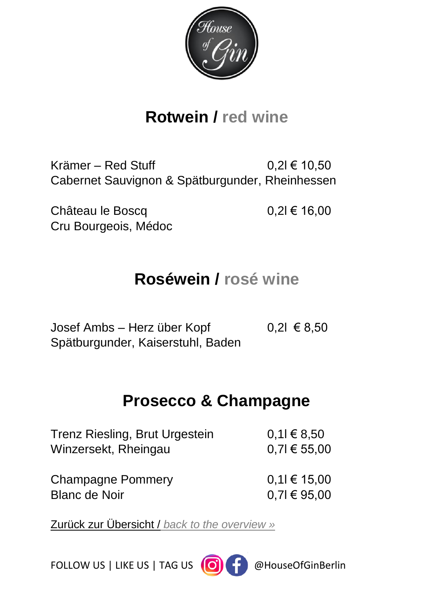

# **Rotwein / red wine**

<span id="page-8-0"></span>Krämer – Red Stuff  $0.2 \in 10.50$ Cabernet Sauvignon & Spätburgunder, Rheinhessen

Château le Boscq  $0,2l \in 16,00$ Cru Bourgeois, Médoc

# **Roséwein / rosé wine**

<span id="page-8-1"></span>Josef Ambs – Herz über Kopf 0,2l € 8,50 Spätburgunder, Kaiserstuhl, Baden

# **Prosecco & Champagne**

<span id="page-8-2"></span>

| Trenz Riesling, Brut Urgestein | $0,11 \in 8,50$  |
|--------------------------------|------------------|
| Winzersekt, Rheingau           | $0.71 \in 55,00$ |
| <b>Champagne Pommery</b>       | $0,11 \in 15,00$ |
| <b>Blanc de Noir</b>           | $0,71 \in 95,00$ |

Zurück zur Übersicht / *[back to the overview »](#page-2-0)*

FOLLOW US | LIKE US | TAG US (O) | Perfollow US | LIKE US | TAG US (O) | Perfollow

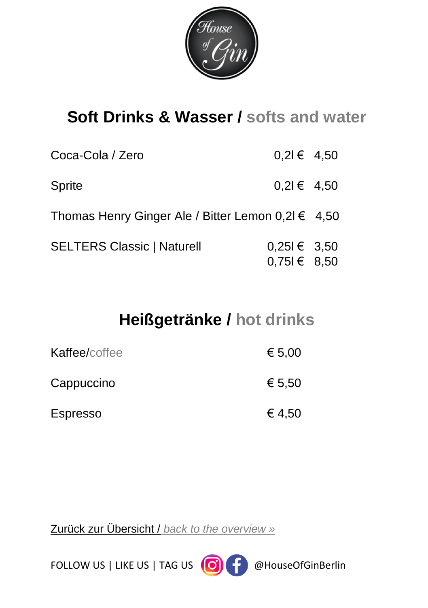

# <span id="page-9-0"></span>**Soft Drinks & Wasser / softs and water**

| Coca-Cola / Zero                                       | $0,21 \in 4,50$                      |  |
|--------------------------------------------------------|--------------------------------------|--|
| <b>Sprite</b>                                          | $0,21 \in 4,50$                      |  |
| Thomas Henry Ginger Ale / Bitter Lemon $0,2l \in 4,50$ |                                      |  |
| <b>SELTERS Classic   Naturell</b>                      | $0,251 \in 3,50$<br>$0,751 \in 8,50$ |  |

# **Heißgetränke / hot drinks**

<span id="page-9-1"></span>

| Kaffee/coffee   | € 5,00 |
|-----------------|--------|
| Cappuccino      | € 5.50 |
| <b>Espresso</b> | € 4,50 |

Zurück zur Übersicht / *[back to the overview »](#page-2-0)*

FOLLOW US | LIKE US | TAG US  $\bigodot$   $\bigodot$   $\bigodot$  @HouseOfGinBerlin

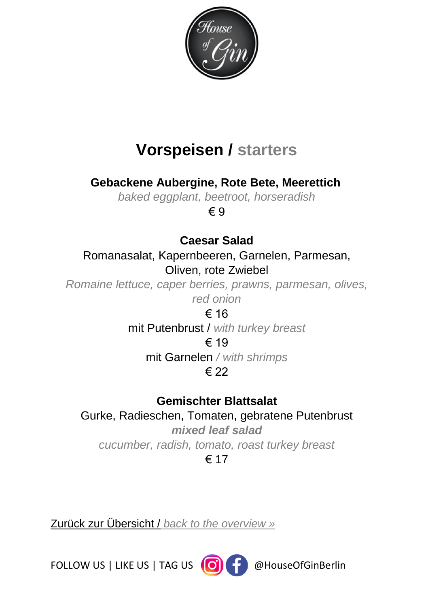

# **Vorspeisen / starters**

<span id="page-10-0"></span>**Gebackene Aubergine, Rote Bete, Meerettich**

*baked eggplant, beetroot, horseradish*

€ 9

#### **Caesar Salad**

Romanasalat, Kapernbeeren, Garnelen, Parmesan, Oliven, rote Zwiebel

*Romaine lettuce, caper berries, prawns, parmesan, olives, red onion*

€ 16 mit Putenbrust / *with turkey breast* € 19

mit Garnelen */ with shrimps*

#### € 22

#### **Gemischter Blattsalat**

# Gurke, Radieschen, Tomaten, gebratene Putenbrust

*mixed leaf salad cucumber, radish, tomato, roast turkey breast* € 17

Zurück zur Übersicht / *[back to the overview »](#page-2-0)*

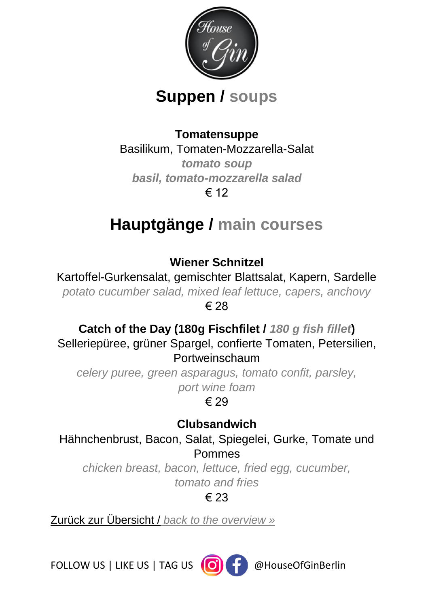

# **Suppen / soups**

#### **Tomatensuppe**

Basilikum, Tomaten-Mozzarella-Salat

*tomato soup basil, tomato-mozzarella salad* € 12

# **Hauptgänge / main courses**

**Wiener Schnitzel**

Kartoffel-Gurkensalat, gemischter Blattsalat, Kapern, Sardelle *potato cucumber salad, mixed leaf lettuce, capers, anchovy* € 28

**Catch of the Day (180g Fischfilet /** *180 g fish fillet***)** Selleriepüree, grüner Spargel, confierte Tomaten, Petersilien, Portweinschaum

*celery puree, green asparagus, tomato confit, parsley, port wine foam*

€ 29

**Clubsandwich** Hähnchenbrust, Bacon, Salat, Spiegelei, Gurke, Tomate und Pommes

*chicken breast, bacon, lettuce, fried egg, cucumber, tomato and fries*

€ 23

Zurück zur Übersicht / *[back to the overview »](#page-2-0)*

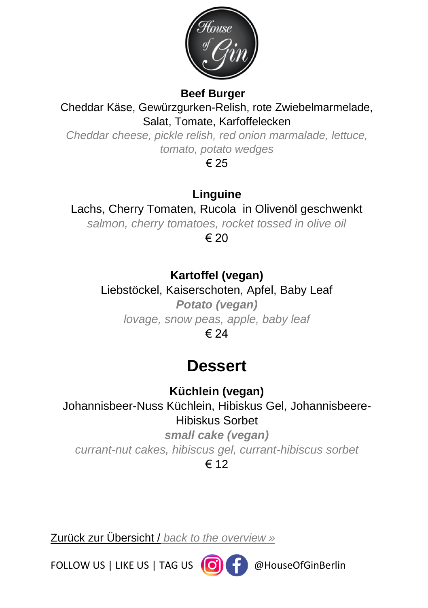

#### **Beef Burger**

Cheddar Käse, Gewürzgurken-Relish, rote Zwiebelmarmelade, Salat, Tomate, Karfoffelecken

*Cheddar cheese, pickle relish, red onion marmalade, lettuce, tomato, potato wedges*

€ 25

#### **Linguine**

Lachs, Cherry Tomaten, Rucola in Olivenöl geschwenkt

*salmon, cherry tomatoes, rocket tossed in olive oil*

 $\epsilon$  20

### **Kartoffel (vegan)**

Liebstöckel, Kaiserschoten, Apfel, Baby Leaf *Potato (vegan) lovage, snow peas, apple, baby leaf* € 24

# **Dessert**

**Küchlein (vegan)** 

Johannisbeer-Nuss Küchlein, Hibiskus Gel, Johannisbeere-Hibiskus Sorbet

*small cake (vegan) currant-nut cakes, hibiscus gel, currant-hibiscus sorbet* € 12

Zurück zur Übersicht / *[back to the overview »](#page-2-0)*

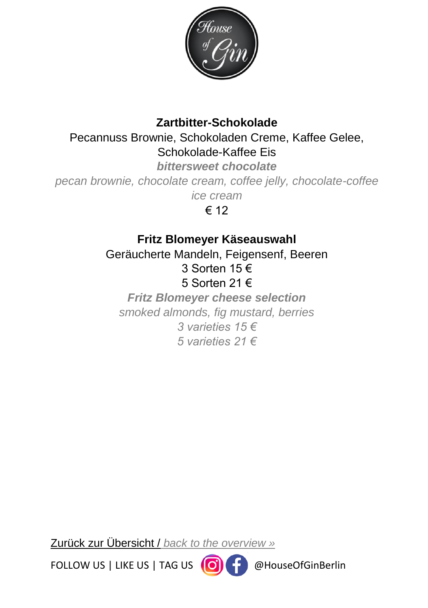

#### **Zartbitter-Schokolade**

Pecannuss Brownie, Schokoladen Creme, Kaffee Gelee, Schokolade-Kaffee Eis

*bittersweet chocolate*

*pecan brownie, chocolate cream, coffee jelly, chocolate-coffee* 

*ice cream*

€ 12

#### **Fritz Blomeyer Käseauswahl**

Geräucherte Mandeln, Feigensenf, Beeren 3 Sorten 15 € 5 Sorten 21 € *Fritz Blomeyer cheese selection smoked almonds, fig mustard, berries 3 varieties 15 €* 

*5 varieties 21 €*

Zurück zur Übersicht / *[back to the overview »](#page-2-0)*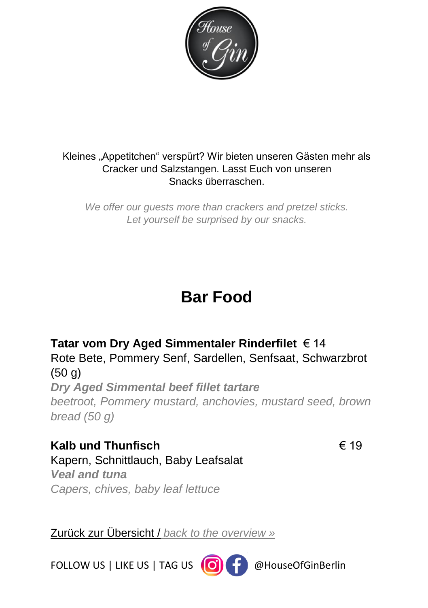

#### Kleines "Appetitchen" verspürt? Wir bieten unseren Gästen mehr als Cracker und Salzstangen. Lasst Euch von unseren Snacks überraschen.

*We offer our guests more than crackers and pretzel sticks. Let yourself be surprised by our snacks.*

# **Bar Food**

#### **Tatar vom Dry Aged Simmentaler Rinderfilet** € 14 Rote Bete, Pommery Senf, Sardellen, Senfsaat, Schwarzbrot (50 g) *Dry Aged Simmental beef fillet tartare*

*beetroot, Pommery mustard, anchovies, mustard seed, brown bread (50 g)*

**Kalb und Thunfisch** € 19 Kapern, Schnittlauch, Baby Leafsalat *Veal and tuna Capers, chives, baby leaf lettuce*

Zurück zur Übersicht / *[back to the overview »](#page-2-0)*

FOLLOW US | LIKE US | TAG US (O) | Perfollow US | LIKE US | TAG US (O) | Perfollow

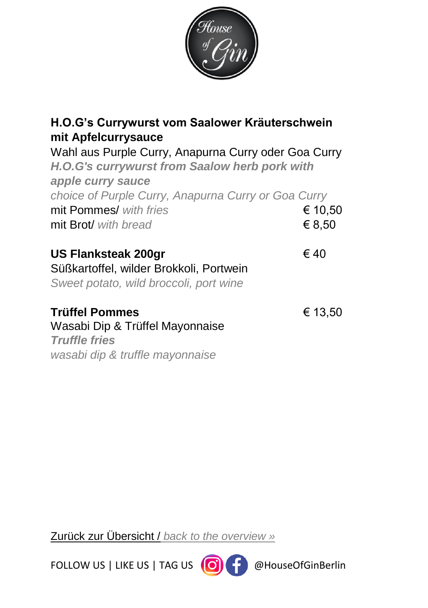

| H.O.G's Currywurst vom Saalower Kräuterschwein<br>mit Apfelcurrysauce                                                             |                   |
|-----------------------------------------------------------------------------------------------------------------------------------|-------------------|
| Wahl aus Purple Curry, Anapurna Curry oder Goa Curry<br><b>H.O.G's currywurst from Saalow herb pork with</b><br>apple curry sauce |                   |
| choice of Purple Curry, Anapurna Curry or Goa Curry<br>mit Pommes/ with fries<br>mit Brot/ with bread                             | € 10,50<br>€ 8,50 |
| <b>US Flanksteak 200gr</b><br>Süßkartoffel, wilder Brokkoli, Portwein<br>Sweet potato, wild broccoli, port wine                   | €40               |
| Trüffel Pommes<br>Wasabi Dip & Trüffel Mayonnaise<br><b>Truffle fries</b><br>wasabi dip & truffle mayonnaise                      | € 13,50           |
|                                                                                                                                   |                   |

Zurück zur Übersicht / *[back to the overview »](#page-2-0)*

FOLLOW US | LIKE US | TAG US  $\bigodot$   $\bigodot$   $\bigodot$  @HouseOfGinBerlin

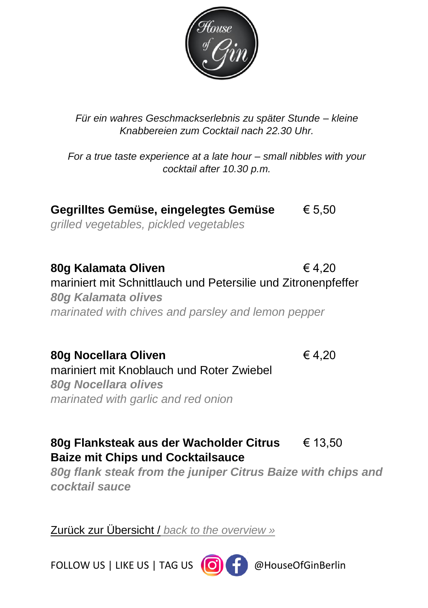

*Für ein wahres Geschmackserlebnis zu später Stunde – kleine Knabbereien zum Cocktail nach 22.30 Uhr.*

*For a true taste experience at a late hour – small nibbles with your cocktail after 10.30 p.m.*

**Gegrilltes Gemüse, eingelegtes Gemüse** € 5,50 *grilled vegetables, pickled vegetables*

**80g Kalamata Oliven** € 4,20 mariniert mit Schnittlauch und Petersilie und Zitronenpfeffer *80g Kalamata olives marinated with chives and parsley and lemon pepper*

**80g Nocellara Oliven** € 4,20 mariniert mit Knoblauch und Roter Zwiebel *80g Nocellara olives marinated with garlic and red onion*

**80g Flanksteak aus der Wacholder Citrus** € 13,50 **Baize mit Chips und Cocktailsauce**

*80g flank steak from the juniper Citrus Baize with chips and cocktail sauce*

Zurück zur Übersicht / *[back to the overview »](#page-2-0)*

FOLLOW US | LIKE US | TAG US  $\left(\bigcirc\right)$   $\left(\bigcirc\right)$  @HouseOfGinBerlin

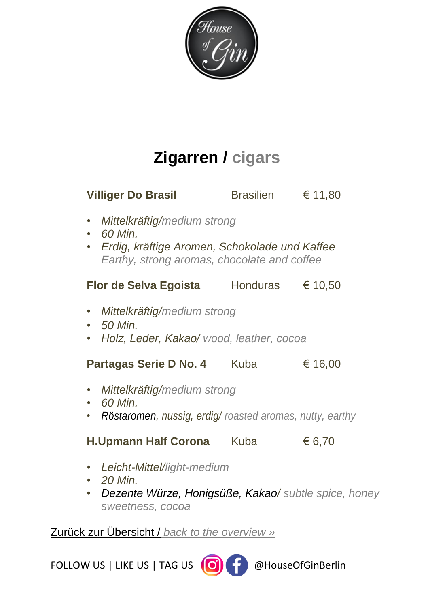

# **Zigarren / cigars**

<span id="page-17-0"></span>

| <b>Villiger Do Brasil</b>                                                                                                                             | Brasilien | € 11,80 |
|-------------------------------------------------------------------------------------------------------------------------------------------------------|-----------|---------|
| Mittelkräftig/medium strong<br>٠<br>$\cdot$ 60 Min.<br>• Erdig, kräftige Aromen, Schokolade und Kaffee<br>Earthy, strong aromas, chocolate and coffee |           |         |
| <b>Flor de Selva Egoista</b> Honduras                                                                                                                 |           | € 10,50 |
| Mittelkräftig/medium strong<br>$\bullet$<br>50 Min.<br>Holz, Leder, Kakao/ wood, leather, cocoa<br>$\bullet$                                          |           |         |
| Partagas Serie D No. 4 Kuba                                                                                                                           |           | € 16,00 |
| Mittelkräftig/medium strong<br>٠<br>60 Min.<br>Röstaromen, nussig, erdig/ roasted aromas, nutty, earthy<br>$\bullet$                                  |           |         |
| H.Upmann Half Corona Kuba                                                                                                                             |           | € 6,70  |
| Leicht-Mittel/light-medium<br>20 Min.<br>$\bullet$                                                                                                    |           |         |

• *Dezente Würze, Honigsüße, Kakao/ subtle spice, honey sweetness, cocoa*

#### Zurück zur Übersicht / *[back to the overview »](#page-2-0)*